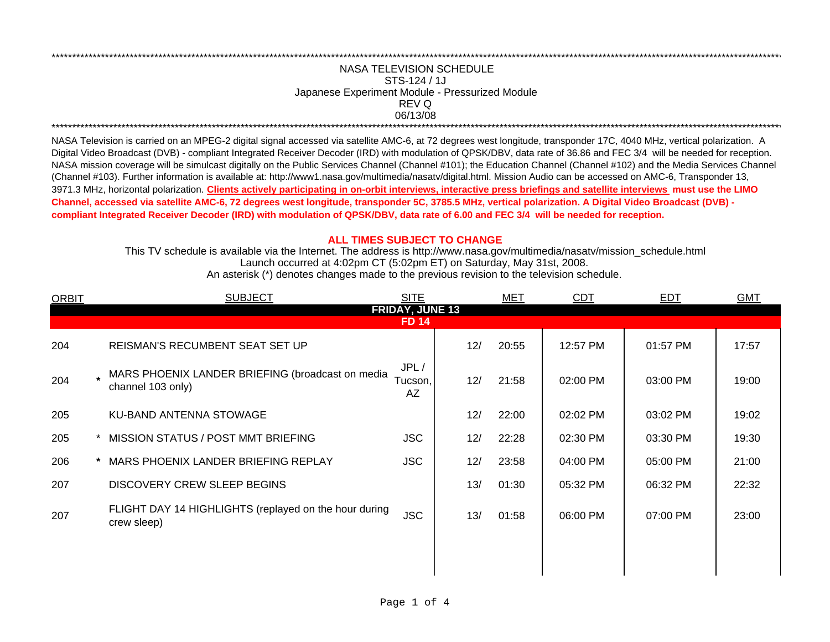## NASA TELEVISION SCHEDULE STS-124 / 1J Japanese Experiment Module - Pressurized Module REV Q 06/13/08

NASA Television is carried on an MPEG-2 digital signal accessed via satellite AMC-6, at 72 degrees west longitude, transponder 17C, 4040 MHz, vertical polarization. A Digital Video Broadcast (DVB) - compliant Integrated Receiver Decoder (IRD) with modulation of QPSK/DBV, data rate of 36.86 and FEC 3/4 will be needed for reception. NASA mission coverage will be simulcast digitally on the Public Services Channel (Channel #101); the Education Channel (Channel #102) and the Media Services Channel (Channel #103). Further information is available at: http://www1.nasa.gov/multimedia/nasatv/digital.html. Mission Audio can be accessed on AMC-6, Transponder 13, 3971.3 MHz, horizontal polarization. Clients actively participating in on-orbit interviews, interactive press briefings and satellite interviews must use the LIMO Channel, accessed via satellite AMC-6, 72 degrees west longitude, transponder 5C, 3785.5 MHz, vertical polarization. A Digital Video Broadcast (DVB) compliant Integrated Receiver Decoder (IRD) with modulation of QPSK/DBV, data rate of 6.00 and FEC 3/4 will be needed for reception.

## **ALL TIMES SUBJECT TO CHANGE**

This TV schedule is available via the Internet. The address is http://www.nasa.gov/multimedia/nasatv/mission schedule.html Launch occurred at 4:02pm CT (5:02pm ET) on Saturday, May 31st, 2008.

| An asterisk (*) denotes changes made to the previous revision to the television schedule. |  |  |  |  |
|-------------------------------------------------------------------------------------------|--|--|--|--|
|                                                                                           |  |  |  |  |

| <b>ORBIT</b>           | <b>SUBJECT</b>                                                          | <b>SITE</b>           |     | <b>MET</b> | CDT      | <b>EDT</b> | <b>GMT</b> |  |  |
|------------------------|-------------------------------------------------------------------------|-----------------------|-----|------------|----------|------------|------------|--|--|
| <b>FRIDAY, JUNE 13</b> |                                                                         |                       |     |            |          |            |            |  |  |
| <b>FD 14</b>           |                                                                         |                       |     |            |          |            |            |  |  |
| 204                    | REISMAN'S RECUMBENT SEAT SET UP                                         |                       | 12/ | 20:55      | 12:57 PM | 01:57 PM   | 17:57      |  |  |
| 204                    | . MARS PHOENIX LANDER BRIEFING (broadcast on media<br>channel 103 only) | JPL/<br>Tucson,<br>AΖ | 12/ | 21:58      | 02:00 PM | 03:00 PM   | 19:00      |  |  |
| 205                    | KU-BAND ANTENNA STOWAGE                                                 |                       | 12/ | 22:00      | 02:02 PM | 03:02 PM   | 19:02      |  |  |
| 205                    | MISSION STATUS / POST MMT BRIEFING                                      | <b>JSC</b>            | 12/ | 22:28      | 02:30 PM | 03:30 PM   | 19:30      |  |  |
| 206                    | MARS PHOENIX LANDER BRIEFING REPLAY                                     | <b>JSC</b>            | 12/ | 23:58      | 04:00 PM | 05:00 PM   | 21:00      |  |  |
| 207                    | <b>DISCOVERY CREW SLEEP BEGINS</b>                                      |                       | 13/ | 01:30      | 05:32 PM | 06:32 PM   | 22:32      |  |  |
| 207                    | FLIGHT DAY 14 HIGHLIGHTS (replayed on the hour during<br>crew sleep)    | <b>JSC</b>            | 13/ | 01:58      | 06:00 PM | 07:00 PM   | 23:00      |  |  |
|                        |                                                                         |                       |     |            |          |            |            |  |  |
|                        |                                                                         |                       |     |            |          |            |            |  |  |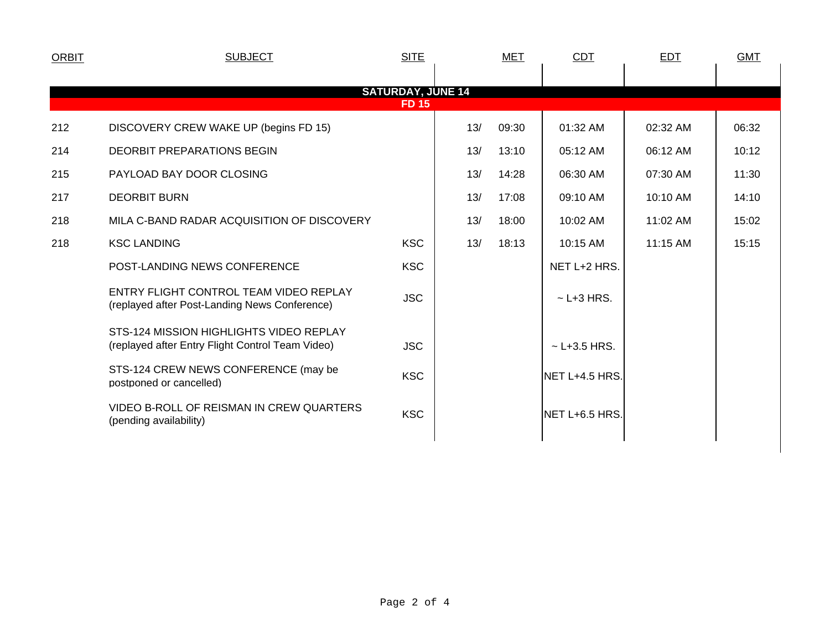| <b>ORBIT</b>                             | <b>SUBJECT</b>                                                                              | <b>SITE</b> |     | <b>MET</b> | <b>CDT</b>        | <b>EDT</b> | <b>GMT</b> |  |  |
|------------------------------------------|---------------------------------------------------------------------------------------------|-------------|-----|------------|-------------------|------------|------------|--|--|
|                                          |                                                                                             |             |     |            |                   |            |            |  |  |
| <b>SATURDAY, JUNE 14</b><br><b>FD 15</b> |                                                                                             |             |     |            |                   |            |            |  |  |
| 212                                      | DISCOVERY CREW WAKE UP (begins FD 15)                                                       |             | 13/ | 09:30      | 01:32 AM          | 02:32 AM   | 06:32      |  |  |
| 214                                      | <b>DEORBIT PREPARATIONS BEGIN</b>                                                           |             | 13/ | 13:10      | 05:12 AM          | 06:12 AM   | 10:12      |  |  |
| 215                                      | PAYLOAD BAY DOOR CLOSING                                                                    |             | 13/ | 14:28      | 06:30 AM          | 07:30 AM   | 11:30      |  |  |
| 217                                      | <b>DEORBIT BURN</b>                                                                         |             | 13/ | 17:08      | 09:10 AM          | 10:10 AM   | 14:10      |  |  |
| 218                                      | MILA C-BAND RADAR ACQUISITION OF DISCOVERY                                                  |             | 13/ | 18:00      | 10:02 AM          | 11:02 AM   | 15:02      |  |  |
| 218                                      | <b>KSC LANDING</b>                                                                          | <b>KSC</b>  | 13/ | 18:13      | 10:15 AM          | 11:15 AM   | 15:15      |  |  |
|                                          | POST-LANDING NEWS CONFERENCE                                                                | <b>KSC</b>  |     |            | NET L+2 HRS.      |            |            |  |  |
|                                          | ENTRY FLIGHT CONTROL TEAM VIDEO REPLAY<br>(replayed after Post-Landing News Conference)     | <b>JSC</b>  |     |            | $\sim$ L+3 HRS.   |            |            |  |  |
|                                          | STS-124 MISSION HIGHLIGHTS VIDEO REPLAY<br>(replayed after Entry Flight Control Team Video) | <b>JSC</b>  |     |            | $\sim$ L+3.5 HRS. |            |            |  |  |
|                                          | STS-124 CREW NEWS CONFERENCE (may be<br>postponed or cancelled)                             | <b>KSC</b>  |     |            | NET L+4.5 HRS.    |            |            |  |  |
|                                          | VIDEO B-ROLL OF REISMAN IN CREW QUARTERS<br><b>KSC</b><br>(pending availability)            |             |     |            | NET L+6.5 HRS.    |            |            |  |  |
|                                          |                                                                                             |             |     |            |                   |            |            |  |  |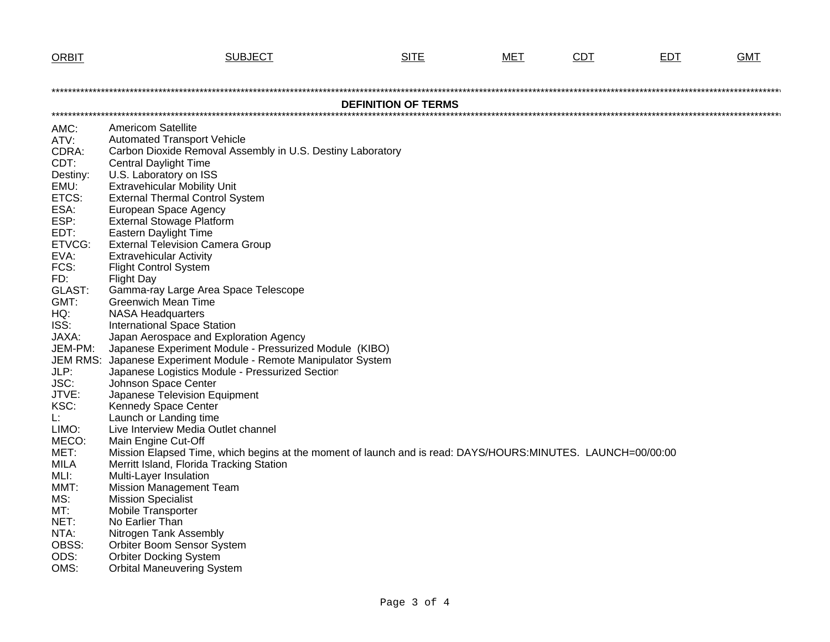| <b>ORBIT</b>          | <b>SUBJECT</b>                                                                                              | <b>SITE</b>                | MET | <b>CDT</b> | <b>EDT</b> | <b>GMT</b> |
|-----------------------|-------------------------------------------------------------------------------------------------------------|----------------------------|-----|------------|------------|------------|
|                       |                                                                                                             |                            |     |            |            |            |
|                       |                                                                                                             |                            |     |            |            |            |
|                       |                                                                                                             | <b>DEFINITION OF TERMS</b> |     |            |            |            |
|                       |                                                                                                             |                            |     |            |            |            |
| AMC:                  | <b>Americom Satellite</b>                                                                                   |                            |     |            |            |            |
| ATV:                  | <b>Automated Transport Vehicle</b>                                                                          |                            |     |            |            |            |
| CDRA:                 | Carbon Dioxide Removal Assembly in U.S. Destiny Laboratory                                                  |                            |     |            |            |            |
| CDT:<br>Destiny:      | <b>Central Daylight Time</b><br>U.S. Laboratory on ISS                                                      |                            |     |            |            |            |
| EMU:                  | <b>Extravehicular Mobility Unit</b>                                                                         |                            |     |            |            |            |
| ETCS:                 | <b>External Thermal Control System</b>                                                                      |                            |     |            |            |            |
| ESA:                  | European Space Agency                                                                                       |                            |     |            |            |            |
| ESP:                  | <b>External Stowage Platform</b>                                                                            |                            |     |            |            |            |
| EDT:                  | <b>Eastern Daylight Time</b>                                                                                |                            |     |            |            |            |
| ETVCG:                | <b>External Television Camera Group</b>                                                                     |                            |     |            |            |            |
| EVA:                  | <b>Extravehicular Activity</b>                                                                              |                            |     |            |            |            |
| FCS:                  | <b>Flight Control System</b>                                                                                |                            |     |            |            |            |
| FD:                   | <b>Flight Day</b><br>Gamma-ray Large Area Space Telescope                                                   |                            |     |            |            |            |
| <b>GLAST:</b><br>GMT: | Greenwich Mean Time                                                                                         |                            |     |            |            |            |
| HQ:                   | <b>NASA Headquarters</b>                                                                                    |                            |     |            |            |            |
| ISS:                  | <b>International Space Station</b>                                                                          |                            |     |            |            |            |
| JAXA:                 | Japan Aerospace and Exploration Agency                                                                      |                            |     |            |            |            |
| JEM-PM:               | Japanese Experiment Module - Pressurized Module (KIBO)                                                      |                            |     |            |            |            |
| JEM RMS:              | Japanese Experiment Module - Remote Manipulator System                                                      |                            |     |            |            |            |
| JLP:                  | Japanese Logistics Module - Pressurized Section                                                             |                            |     |            |            |            |
| JSC:                  | Johnson Space Center                                                                                        |                            |     |            |            |            |
| JTVE:                 | Japanese Television Equipment                                                                               |                            |     |            |            |            |
| KSC:                  | Kennedy Space Center                                                                                        |                            |     |            |            |            |
| L:<br>LIMO:           | Launch or Landing time<br>Live Interview Media Outlet channel                                               |                            |     |            |            |            |
| MECO:                 | Main Engine Cut-Off                                                                                         |                            |     |            |            |            |
| MET:                  | Mission Elapsed Time, which begins at the moment of launch and is read: DAYS/HOURS:MINUTES. LAUNCH=00/00:00 |                            |     |            |            |            |
| <b>MILA</b>           | Merritt Island, Florida Tracking Station                                                                    |                            |     |            |            |            |
| MLI:                  | Multi-Layer Insulation                                                                                      |                            |     |            |            |            |
| MMT:                  | <b>Mission Management Team</b>                                                                              |                            |     |            |            |            |
| MS:                   | <b>Mission Specialist</b>                                                                                   |                            |     |            |            |            |
| MT:                   | <b>Mobile Transporter</b>                                                                                   |                            |     |            |            |            |
| NET:                  | No Earlier Than                                                                                             |                            |     |            |            |            |
| NTA:                  | Nitrogen Tank Assembly                                                                                      |                            |     |            |            |            |
| OBSS:<br>ODS:         | Orbiter Boom Sensor System                                                                                  |                            |     |            |            |            |
| OMS:                  | <b>Orbiter Docking System</b><br><b>Orbital Maneuvering System</b>                                          |                            |     |            |            |            |
|                       |                                                                                                             |                            |     |            |            |            |